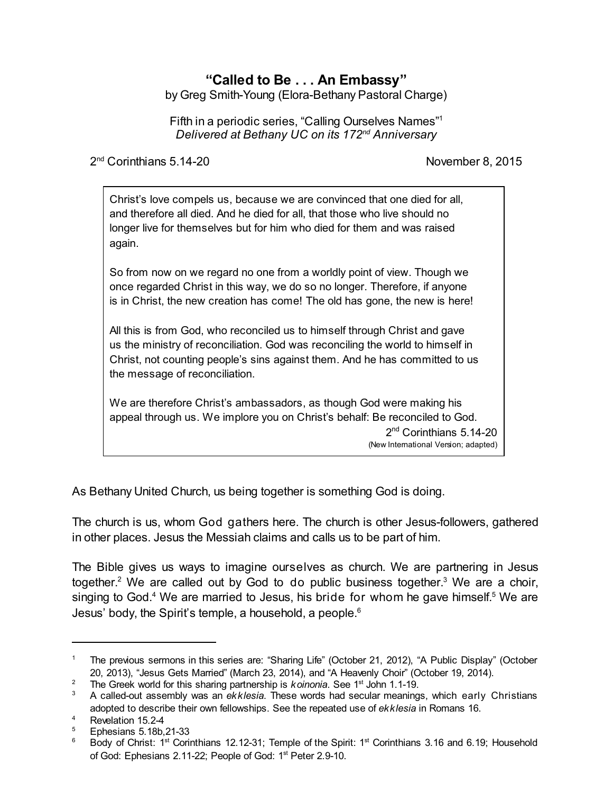# **"Called to Be . . . An Embassy"**

by Greg Smith-Young (Elora-Bethany Pastoral Charge)

Fifth in a periodic series, "Calling Ourselves Names"<sup>1</sup> *Delivered at Bethany UC on its 172nd Anniversary*

2<sup>nd</sup> Corinthians 5.14-20 **November 8, 2015** 

Christ's love compels us, because we are convinced that one died for all, and therefore all died. And he died for all, that those who live should no longer live for themselves but for him who died for them and was raised again.

So from now on we regard no one from a worldly point of view. Though we once regarded Christ in this way, we do so no longer. Therefore, if anyone is in Christ, the new creation has come! The old has gone, the new is here!

All this is from God, who reconciled us to himself through Christ and gave us the ministry of reconciliation. God was reconciling the world to himself in Christ, not counting people's sins against them. And he has committed to us the message of reconciliation.

We are therefore Christ's ambassadors, as though God were making his appeal through us. We implore you on Christ's behalf: Be reconciled to God.

> 2<sup>nd</sup> Corinthians 5.14-20 (New International Version; adapted)

As Bethany United Church, us being together is something God is doing.

The church is us, whom God gathers here. The church is other Jesus-followers, gathered in other places. Jesus the Messiah claims and calls us to be part of him.

The Bible gives us ways to imagine ourselves as church. We are partnering in Jesus together.<sup>2</sup> We are called out by God to do public business together.<sup>3</sup> We are a choir, singing to God.<sup>4</sup> We are married to Jesus, his bride for whom he gave himself.<sup>5</sup> We are Jesus' body, the Spirit's temple, a household, a people.<sup>6</sup>

<sup>1</sup> The previous sermons in this series are: "Sharing Life" (October 21, 2012), "A Public Display" (October 20, 2013), "Jesus Gets Married" (March 23, 2014), and "A Heavenly Choir" (October 19, 2014).

<sup>&</sup>lt;sup>2</sup> The Greek world for this sharing partnership is *koinonia*. See 1<sup>st</sup> John 1.1-19.

<sup>&</sup>lt;sup>3</sup> A called-out assembly was an *ekklesia*. These words had secular meanings, which early Christians adopted to describe their own fellowships. See the repeated use of *ekklesia* in Romans 16.

<sup>&</sup>lt;sup>4</sup> Revelation 15.2-4<br> $\frac{5}{2}$  Ephesians 5.18b

<sup>5</sup> Ephesians 5.18b,21-33

 $6$  Body of Christ: 1<sup>st</sup> Corinthians 12.12-31; Temple of the Spirit: 1<sup>st</sup> Corinthians 3.16 and 6.19; Household of God: Ephesians 2.11-22; People of God: 1<sup>st</sup> Peter 2.9-10.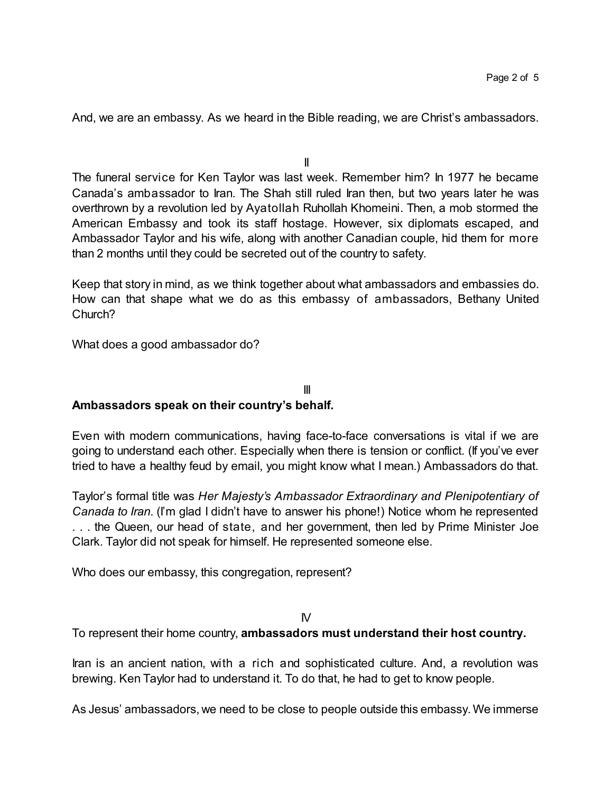And, we are an embassy. As we heard in the Bible reading, we are Christ's ambassadors.

II

The funeral service for Ken Taylor was last week. Remember him? In 1977 he became Canada's ambassador to Iran. The Shah still ruled Iran then, but two years later he was overthrown by a revolution led by Ayatollah Ruhollah Khomeini. Then, a mob stormed the American Embassy and took its staff hostage. However, six diplomats escaped, and Ambassador Taylor and his wife, along with another Canadian couple, hid them for more than 2 months until they could be secreted out of the country to safety.

Keep that story in mind, as we think together about what ambassadors and embassies do. How can that shape what we do as this embassy of ambassadors, Bethany United Church?

What does a good ambassador do?

### III **Ambassadors speak on their country's behalf.**

Even with modern communications, having face-to-face conversations is vital if we are going to understand each other. Especially when there is tension or conflict. (If you've ever tried to have a healthy feud by email, you might know what I mean.) Ambassadors do that.

Taylor's formal title was *Her Majesty's Ambassador Extraordinary and Plenipotentiary of Canada to Iran.* (I'm glad I didn't have to answer his phone!) Notice whom he represented . . . the Queen, our head of state, and her government, then led by Prime Minister Joe Clark. Taylor did not speak for himself. He represented someone else.

Who does our embassy, this congregation, represent?

#### $\mathsf{N}'$

To represent their home country, **ambassadors must understand their host country.**

Iran is an ancient nation, with a rich and sophisticated culture. And, a revolution was brewing. Ken Taylor had to understand it. To do that, he had to get to know people.

As Jesus' ambassadors, we need to be close to people outside this embassy.We immerse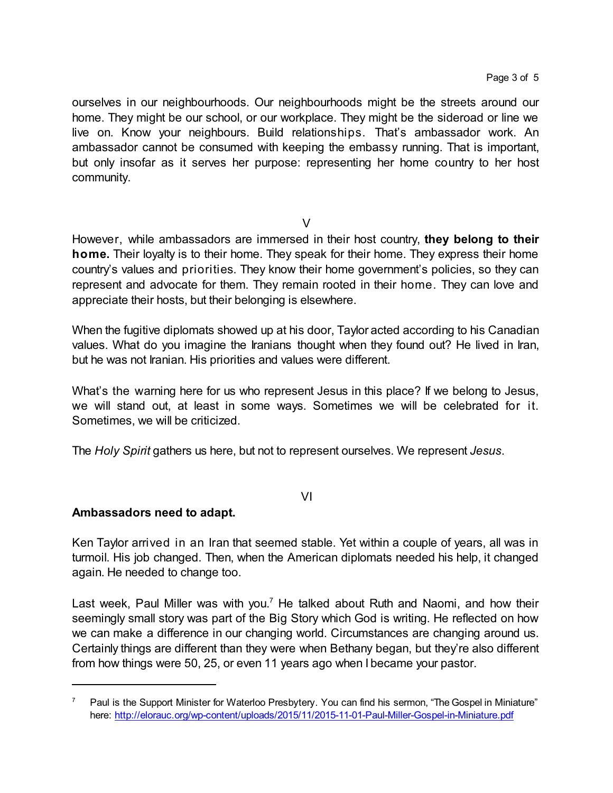ourselves in our neighbourhoods. Our neighbourhoods might be the streets around our home. They might be our school, or our workplace. They might be the sideroad or line we live on. Know your neighbours. Build relationships. That's ambassador work. An ambassador cannot be consumed with keeping the embassy running. That is important, but only insofar as it serves her purpose: representing her home country to her host community.

 $\vee$ 

However, while ambassadors are immersed in their host country, **they belong to their home.** Their loyalty is to their home. They speak for their home. They express their home country's values and priorities. They know their home government's policies, so they can represent and advocate for them. They remain rooted in their home. They can love and appreciate their hosts, but their belonging is elsewhere.

When the fugitive diplomats showed up at his door, Taylor acted according to his Canadian values. What do you imagine the Iranians thought when they found out? He lived in Iran, but he was not Iranian. His priorities and values were different.

What's the warning here for us who represent Jesus in this place? If we belong to Jesus, we will stand out, at least in some ways. Sometimes we will be celebrated for it. Sometimes, we will be criticized.

The *Holy Spirit* gathers us here, but not to represent ourselves. We represent *Jesus*.

VI

## **Ambassadors need to adapt.**

Ken Taylor arrived in an Iran that seemed stable. Yet within a couple of years, all was in turmoil. His job changed. Then, when the American diplomats needed his help, it changed again. He needed to change too.

Last week, Paul Miller was with you.<sup>7</sup> He talked about Ruth and Naomi, and how their seemingly small story was part of the Big Story which God is writing. He reflected on how we can make a difference in our changing world. Circumstances are changing around us. Certainly things are different than they were when Bethany began, but they're also different from how things were 50, 25, or even 11 years ago when I became your pastor.

 $7$  Paul is the Support Minister for Waterloo Presbytery. You can find his sermon, "The Gospel in Miniature" here: <http://elorauc.org/wp-content/uploads/2015/11/2015-11-01-Paul-Miller-Gospel-in-Miniature.pdf>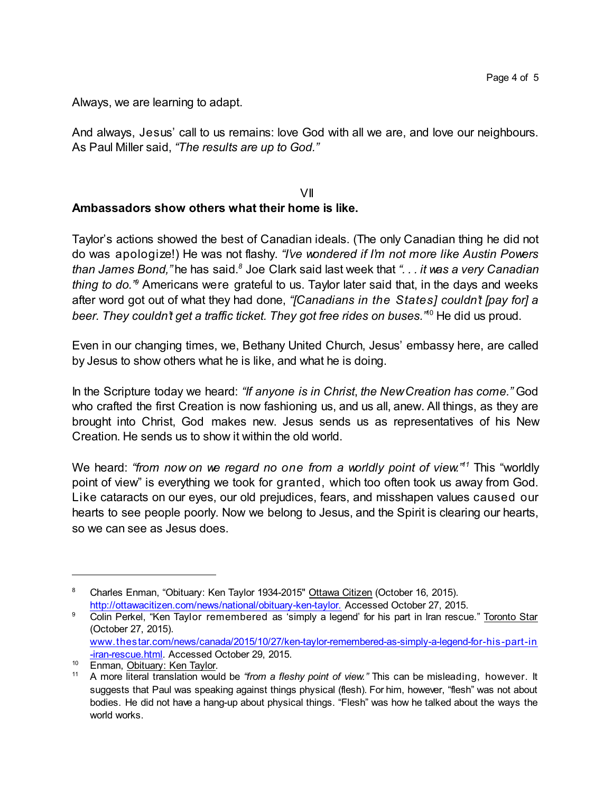Always, we are learning to adapt.

And always, Jesus' call to us remains: love God with all we are, and love our neighbours. As Paul Miller said, *"The results are up to God."*

#### VII **Ambassadors show others what their home is like.**

Taylor's actions showed the best of Canadian ideals. (The only Canadian thing he did not do was apologize!) He was not flashy. *"I've wondered if I'm not more like Austin Powers than James Bond,"* he has said.*<sup>8</sup>* Joe Clark said last week that *". . . it was a very Canadian* thing to do.<sup>"</sup> Americans were grateful to us. Taylor later said that, in the days and weeks after word got out of what they had done, *"[Canadians in the States] couldn't [pay for] a beer. They couldn't get a traffic ticket. They got free rides on buses."* <sup>10</sup> He did us proud.

Even in our changing times, we, Bethany United Church, Jesus' embassy here, are called by Jesus to show others what he is like, and what he is doing.

In the Scripture today we heard: *"If anyone is in Christ*, *the NewCreation has come."* God who crafted the first Creation is now fashioning us, and us all, anew. All things, as they are brought into Christ, God makes new. Jesus sends us as representatives of his New Creation. He sends us to show it within the old world.

We heard: *"from now on we regard no one from a worldly point of view." <sup>11</sup>* This "worldly point of view" is everything we took for granted, which too often took us away from God. Like cataracts on our eyes, our old prejudices, fears, and misshapen values caused our hearts to see people poorly. Now we belong to Jesus, and the Spirit is clearing our hearts, so we can see as Jesus does.

<sup>&</sup>lt;sup>8</sup> Charles Enman, "Obituary: Ken Taylor 1934-2015" Ottawa Citizen (October 16, 2015). <http://ottawacitizen.com/news/national/obituary-ken-taylor.> Accessed October 27, 2015.

<sup>&</sup>lt;sup>9</sup> Colin Perkel, "Ken Taylor remembered as 'simply a legend' for his part in Iran rescue." Toronto Star (October 27, 2015). [www.thestar.com/news/canada/2015/10/27/ken-taylor-remembered-as-simply-a-legend-for-his-part-in](http://www.thestar.com/news/canada/2015/10/27/ken-taylor-remembered-as-simply-a-legend-for-his-part-in-iran-rescue.html)

[<sup>-</sup>iran-rescue.html](http://www.thestar.com/news/canada/2015/10/27/ken-taylor-remembered-as-simply-a-legend-for-his-part-in-iran-rescue.html). Accessed October 29, 2015.

<sup>&</sup>lt;sup>10</sup> Enman, Obituary: Ken Taylor.

<sup>11</sup> A more literal translation would be *"from a fleshy point of view."* This can be misleading, however. It suggests that Paul was speaking against things physical (flesh). For him, however, "flesh" was not about bodies. He did not have a hang-up about physical things. "Flesh" was how he talked about the ways the world works.